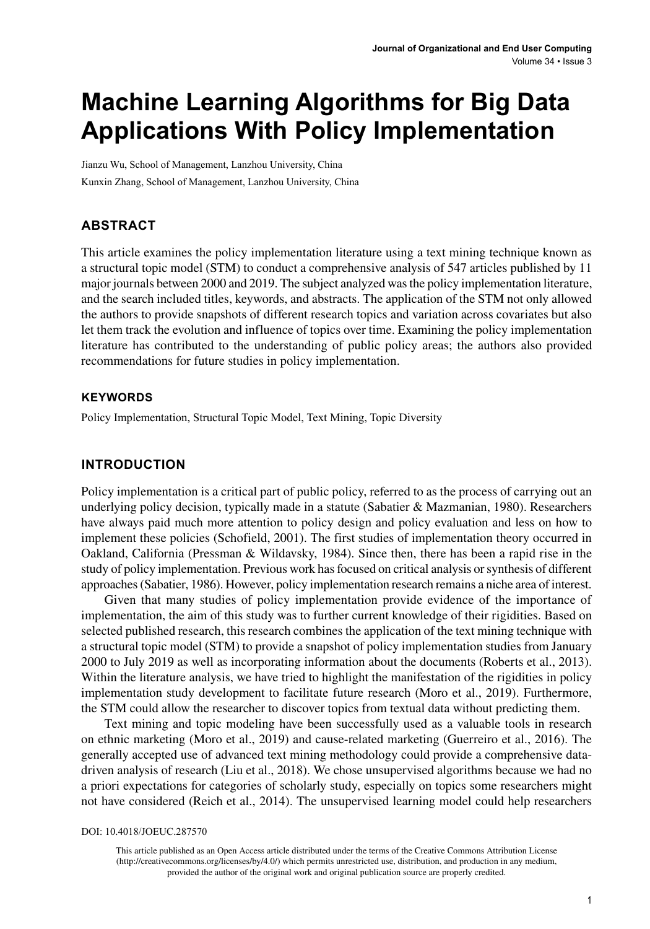# **Machine Learning Algorithms for Big Data Applications With Policy Implementation**

Jianzu Wu, School of Management, Lanzhou University, China Kunxin Zhang, School of Management, Lanzhou University, China

# **ABSTRACT**

This article examines the policy implementation literature using a text mining technique known as a structural topic model (STM) to conduct a comprehensive analysis of 547 articles published by 11 major journals between 2000 and 2019. The subject analyzed was the policy implementation literature, and the search included titles, keywords, and abstracts. The application of the STM not only allowed the authors to provide snapshots of different research topics and variation across covariates but also let them track the evolution and influence of topics over time. Examining the policy implementation literature has contributed to the understanding of public policy areas; the authors also provided recommendations for future studies in policy implementation.

### **Keywords**

Policy Implementation, Structural Topic Model, Text Mining, Topic Diversity

### **INTRODUCTION**

Policy implementation is a critical part of public policy, referred to as the process of carrying out an underlying policy decision, typically made in a statute (Sabatier & Mazmanian, 1980). Researchers have always paid much more attention to policy design and policy evaluation and less on how to implement these policies (Schofield, 2001). The first studies of implementation theory occurred in Oakland, California (Pressman & Wildavsky, 1984). Since then, there has been a rapid rise in the study of policy implementation. Previous work has focused on critical analysis or synthesis of different approaches (Sabatier, 1986). However, policy implementation research remains a niche area of interest.

Given that many studies of policy implementation provide evidence of the importance of implementation, the aim of this study was to further current knowledge of their rigidities. Based on selected published research, this research combines the application of the text mining technique with a structural topic model (STM) to provide a snapshot of policy implementation studies from January 2000 to July 2019 as well as incorporating information about the documents (Roberts et al., 2013). Within the literature analysis, we have tried to highlight the manifestation of the rigidities in policy implementation study development to facilitate future research (Moro et al., 2019). Furthermore, the STM could allow the researcher to discover topics from textual data without predicting them.

Text mining and topic modeling have been successfully used as a valuable tools in research on ethnic marketing (Moro et al., 2019) and cause-related marketing (Guerreiro et al., 2016). The generally accepted use of advanced text mining methodology could provide a comprehensive datadriven analysis of research (Liu et al., 2018). We chose unsupervised algorithms because we had no a priori expectations for categories of scholarly study, especially on topics some researchers might not have considered (Reich et al., 2014). The unsupervised learning model could help researchers

DOI: 10.4018/JOEUC.287570

This article published as an Open Access article distributed under the terms of the Creative Commons Attribution License (http://creativecommons.org/licenses/by/4.0/) which permits unrestricted use, distribution, and production in any medium, provided the author of the original work and original publication source are properly credited.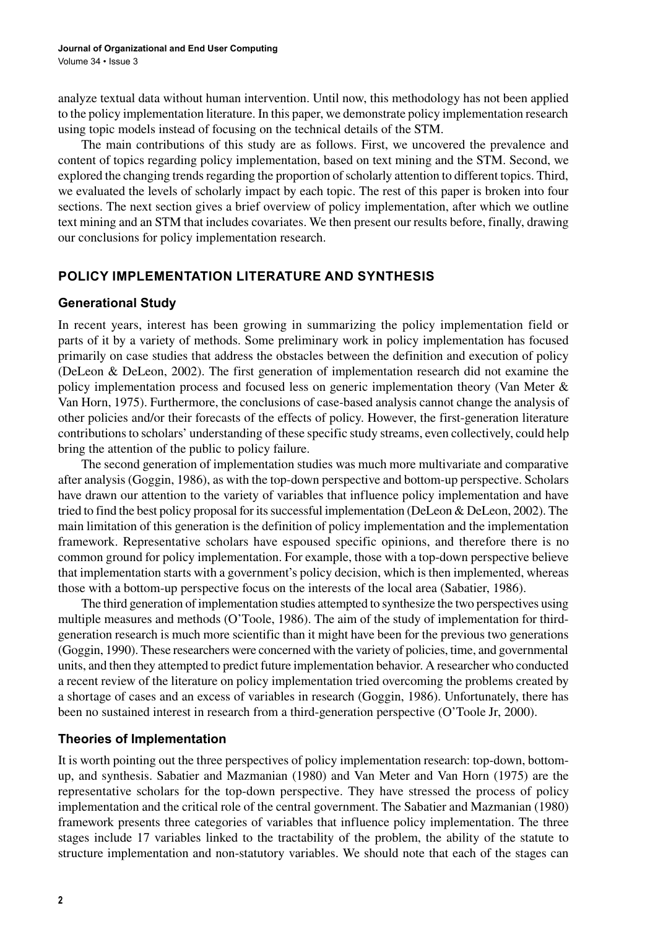analyze textual data without human intervention. Until now, this methodology has not been applied to the policy implementation literature. In this paper, we demonstrate policy implementation research using topic models instead of focusing on the technical details of the STM.

The main contributions of this study are as follows. First, we uncovered the prevalence and content of topics regarding policy implementation, based on text mining and the STM. Second, we explored the changing trends regarding the proportion of scholarly attention to different topics. Third, we evaluated the levels of scholarly impact by each topic. The rest of this paper is broken into four sections. The next section gives a brief overview of policy implementation, after which we outline text mining and an STM that includes covariates. We then present our results before, finally, drawing our conclusions for policy implementation research.

### **POLICY IMPLEMENTATION LITERATURE AND SYNTHESIS**

### **Generational Study**

In recent years, interest has been growing in summarizing the policy implementation field or parts of it by a variety of methods. Some preliminary work in policy implementation has focused primarily on case studies that address the obstacles between the definition and execution of policy (DeLeon & DeLeon, 2002). The first generation of implementation research did not examine the policy implementation process and focused less on generic implementation theory (Van Meter & Van Horn, 1975). Furthermore, the conclusions of case-based analysis cannot change the analysis of other policies and/or their forecasts of the effects of policy. However, the first-generation literature contributions to scholars' understanding of these specific study streams, even collectively, could help bring the attention of the public to policy failure.

The second generation of implementation studies was much more multivariate and comparative after analysis (Goggin, 1986), as with the top-down perspective and bottom-up perspective. Scholars have drawn our attention to the variety of variables that influence policy implementation and have tried to find the best policy proposal for its successful implementation (DeLeon & DeLeon, 2002). The main limitation of this generation is the definition of policy implementation and the implementation framework. Representative scholars have espoused specific opinions, and therefore there is no common ground for policy implementation. For example, those with a top-down perspective believe that implementation starts with a government's policy decision, which is then implemented, whereas those with a bottom-up perspective focus on the interests of the local area (Sabatier, 1986).

The third generation of implementation studies attempted to synthesize the two perspectives using multiple measures and methods (O'Toole, 1986). The aim of the study of implementation for thirdgeneration research is much more scientific than it might have been for the previous two generations (Goggin, 1990). These researchers were concerned with the variety of policies, time, and governmental units, and then they attempted to predict future implementation behavior. A researcher who conducted a recent review of the literature on policy implementation tried overcoming the problems created by a shortage of cases and an excess of variables in research (Goggin, 1986). Unfortunately, there has been no sustained interest in research from a third-generation perspective (O'Toole Jr, 2000).

### **Theories of Implementation**

It is worth pointing out the three perspectives of policy implementation research: top-down, bottomup, and synthesis. Sabatier and Mazmanian (1980) and Van Meter and Van Horn (1975) are the representative scholars for the top-down perspective. They have stressed the process of policy implementation and the critical role of the central government. The Sabatier and Mazmanian (1980) framework presents three categories of variables that influence policy implementation. The three stages include 17 variables linked to the tractability of the problem, the ability of the statute to structure implementation and non-statutory variables. We should note that each of the stages can